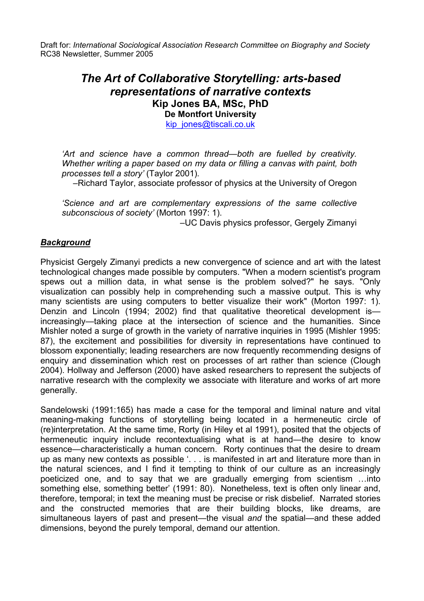Draft for: *International Sociological Association Research Committee on Biography and Society* RC38 Newsletter, Summer 2005

# *The Art of Collaborative Storytelling: arts-based representations of narrative contexts*  **Kip Jones BA, MSc, PhD**

**De Montfort University** 

kip\_jones@tiscali.co.uk

*'Art and science have a common thread—both are fuelled by creativity. Whether writing a paper based on my data or filling a canvas with paint, both processes tell a story'* (Taylor 2001)*.* 

–Richard Taylor, associate professor of physics at the University of Oregon

*'Science and art are complementary expressions of the same collective subconscious of society'* (Morton 1997: 1).

–UC Davis physics professor, Gergely Zimanyi

## *Background*

Physicist Gergely Zimanyi predicts a new convergence of science and art with the latest technological changes made possible by computers. "When a modern scientist's program spews out a million data, in what sense is the problem solved?" he says. "Only visualization can possibly help in comprehending such a massive output. This is why many scientists are using computers to better visualize their work" (Morton 1997: 1). Denzin and Lincoln (1994; 2002) find that qualitative theoretical development isincreasingly—taking place at the intersection of science and the humanities. Since Mishler noted a surge of growth in the variety of narrative inquiries in 1995 (Mishler 1995: 87), the excitement and possibilities for diversity in representations have continued to blossom exponentially; leading researchers are now frequently recommending designs of enquiry and dissemination which rest on processes of art rather than science (Clough 2004). Hollway and Jefferson (2000) have asked researchers to represent the subjects of narrative research with the complexity we associate with literature and works of art more generally.

Sandelowski (1991:165) has made a case for the temporal and liminal nature and vital meaning-making functions of storytelling being located in a hermeneutic circle of (re)interpretation. At the same time, Rorty (in Hiley et al 1991), posited that the objects of hermeneutic inquiry include recontextualising what is at hand—the desire to know essence—characteristically a human concern. Rorty continues that the desire to dream up as many new contexts as possible '. . . is manifested in art and literature more than in the natural sciences, and I find it tempting to think of our culture as an increasingly poeticized one, and to say that we are gradually emerging from scientism …into something else, something better' (1991: 80). Nonetheless, text is often only linear and, therefore, temporal; in text the meaning must be precise or risk disbelief. Narrated stories and the constructed memories that are their building blocks, like dreams, are simultaneous layers of past and present—the visual *and* the spatial—and these added dimensions, beyond the purely temporal, demand our attention.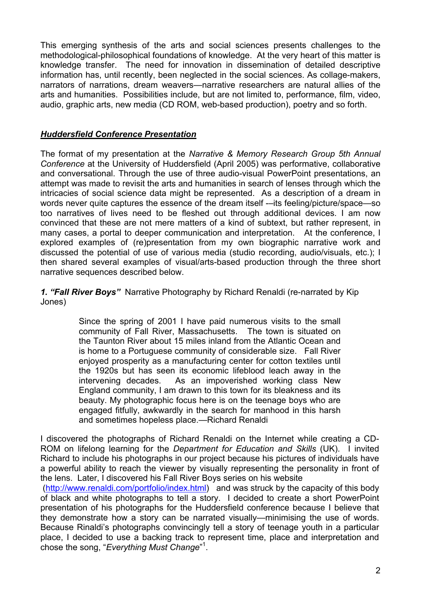This emerging synthesis of the arts and social sciences presents challenges to the methodological-philosophical foundations of knowledge. At the very heart of this matter is knowledge transfer. The need for innovation in dissemination of detailed descriptive information has, until recently, been neglected in the social sciences. As collage-makers, narrators of narrations, dream weavers—narrative researchers are natural allies of the arts and humanities. Possibilities include, but are not limited to, performance, film, video, audio, graphic arts, new media (CD ROM, web-based production), poetry and so forth.

## *Huddersfield Conference Presentation*

The format of my presentation at the *Narrative & Memory Research Group 5th Annual Conference* at the University of Huddersfield (April 2005) was performative, collaborative and conversational. Through the use of three audio-visual PowerPoint presentations, an attempt was made to revisit the arts and humanities in search of lenses through which the intricacies of social science data might be represented. As a description of a dream in words never quite captures the essence of the dream itself -–its feeling/picture/space—so too narratives of lives need to be fleshed out through additional devices. I am now convinced that these are not mere matters of a kind of subtext, but rather represent, in many cases, a portal to deeper communication and interpretation. At the conference, I explored examples of (re)presentation from my own biographic narrative work and discussed the potential of use of various media (studio recording, audio/visuals, etc.); I then shared several examples of visual/arts-based production through the three short narrative sequences described below.

*1. "Fall River Boys"* Narrative Photography by Richard Renaldi (re-narrated by Kip Jones)

> Since the spring of 2001 I have paid numerous visits to the small community of Fall River, Massachusetts. The town is situated on the Taunton River about 15 miles inland from the Atlantic Ocean and is home to a Portuguese community of considerable size. Fall River enjoyed prosperity as a manufacturing center for cotton textiles until the 1920s but has seen its economic lifeblood leach away in the intervening decades. As an impoverished working class New England community, I am drawn to this town for its bleakness and its beauty. My photographic focus here is on the teenage boys who are engaged fitfully, awkwardly in the search for manhood in this harsh and sometimes hopeless place.—Richard Renaldi

I discovered the photographs of Richard Renaldi on the Internet while creating a CD-ROM on lifelong learning for the *Department for Education and Skills* (UK). I invited Richard to include his photographs in our project because his pictures of individuals have a powerful ability to reach the viewer by visually representing the personality in front of the lens. Later, I discovered his Fall River Boys series on his website

 (http://www.renaldi.com/portfolio/index.html) and was struck by the capacity of this body of black and white photographs to tell a story. I decided to create a short PowerPoint presentation of his photographs for the Huddersfield conference because I believe that they demonstrate how a story can be narrated visually—minimising the use of words. Because Rinaldi's photographs convincingly tell a story of teenage youth in a particular place, I decided to use a backing track to represent time, place and interpretation and chose the song, "*Everything Must Change*" 1 .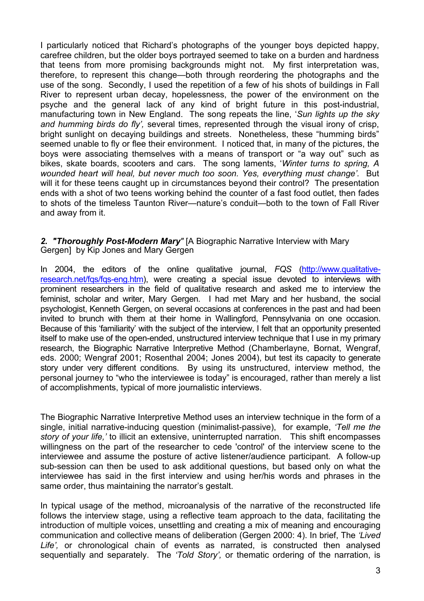I particularly noticed that Richard's photographs of the younger boys depicted happy, carefree children, but the older boys portrayed seemed to take on a burden and hardness that teens from more promising backgrounds might not. My first interpretation was, therefore, to represent this change—both through reordering the photographs and the use of the song. Secondly, I used the repetition of a few of his shots of buildings in Fall River to represent urban decay, hopelessness, the power of the environment on the psyche and the general lack of any kind of bright future in this post-industrial, manufacturing town in New England. The song repeats the line, '*Sun lights up the sky and humming birds do fly',* several times, represented through the visual irony of crisp, bright sunlight on decaying buildings and streets. Nonetheless, these "humming birds" seemed unable to fly or flee their environment. I noticed that, in many of the pictures, the boys were associating themselves with a means of transport or "a way out" such as bikes, skate boards, scooters and cars. The song laments, '*Winter turns to spring, A wounded heart will heal, but never much too soon. Yes, everything must change'.* But will it for these teens caught up in circumstances beyond their control? The presentation ends with a shot of two teens working behind the counter of a fast food outlet, then fades to shots of the timeless Taunton River—nature's conduit—both to the town of Fall River and away from it.

#### *2. "Thoroughly Post-Modern Mary"* [A Biographic Narrative Interview with Mary Gergen] by Kip Jones and Mary Gergen

In 2004, the editors of the online qualitative journal, *FQS* (http://www.qualitativeresearch.net/fqs/fqs-eng.htm), were creating a special issue devoted to interviews with prominent researchers in the field of qualitative research and asked me to interview the feminist, scholar and writer, Mary Gergen. I had met Mary and her husband, the social psychologist, Kenneth Gergen, on several occasions at conferences in the past and had been invited to brunch with them at their home in Wallingford, Pennsylvania on one occasion. Because of this 'familiarity' with the subject of the interview, I felt that an opportunity presented itself to make use of the open-ended, unstructured interview technique that I use in my primary research, the Biographic Narrative Interpretive Method (Chamberlayne, Bornat, Wengraf, eds. 2000; Wengraf 2001; Rosenthal 2004; Jones 2004), but test its capacity to generate story under very different conditions. By using its unstructured, interview method, the personal journey to "who the interviewee is today" is encouraged, rather than merely a list of accomplishments, typical of more journalistic interviews.

The Biographic Narrative Interpretive Method uses an interview technique in the form of a single, initial narrative-inducing question (minimalist-passive), for example, *'Tell me the story of your life,'* to illicit an extensive, uninterrupted narration. This shift encompasses willingness on the part of the researcher to cede 'control' of the interview scene to the interviewee and assume the posture of active listener/audience participant. A follow-up sub-session can then be used to ask additional questions, but based only on what the interviewee has said in the first interview and using her/his words and phrases in the same order, thus maintaining the narrator's gestalt.

In typical usage of the method, microanalysis of the narrative of the reconstructed life follows the interview stage, using a reflective team approach to the data, facilitating the introduction of multiple voices, unsettling and creating a mix of meaning and encouraging communication and collective means of deliberation (Gergen 2000: 4). In brief, The *'Lived*  Life', or chronological chain of events as narrated, is constructed then analysed sequentially and separately. The *'Told Story',* or thematic ordering of the narration, is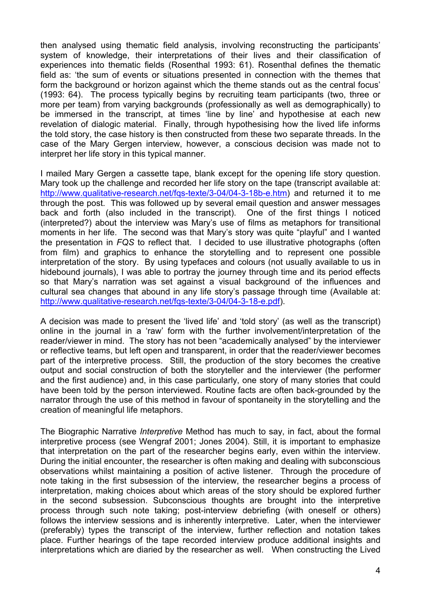then analysed using thematic field analysis, involving reconstructing the participants' system of knowledge, their interpretations of their lives and their classification of experiences into thematic fields (Rosenthal 1993: 61). Rosenthal defines the thematic field as: 'the sum of events or situations presented in connection with the themes that form the background or horizon against which the theme stands out as the central focus' (1993: 64). The process typically begins by recruiting team participants (two, three or more per team) from varying backgrounds (professionally as well as demographically) to be immersed in the transcript, at times 'line by line' and hypothesise at each new revelation of dialogic material. Finally, through hypothesising how the lived life informs the told story, the case history is then constructed from these two separate threads. In the case of the Mary Gergen interview, however, a conscious decision was made not to interpret her life story in this typical manner.

I mailed Mary Gergen a cassette tape, blank except for the opening life story question. Mary took up the challenge and recorded her life story on the tape (transcript available at: http://www.qualitative-research.net/fqs-texte/3-04/04-3-18b-e.htm) and returned it to me through the post. This was followed up by several email question and answer messages back and forth (also included in the transcript). One of the first things I noticed (interpreted?) about the interview was Mary's use of films as metaphors for transitional moments in her life. The second was that Mary's story was quite "playful" and I wanted the presentation in *FQS* to reflect that. I decided to use illustrative photographs (often from film) and graphics to enhance the storytelling and to represent one possible interpretation of the story. By using typefaces and colours (not usually available to us in hidebound journals), I was able to portray the journey through time and its period effects so that Mary's narration was set against a visual background of the influences and cultural sea changes that abound in any life story's passage through time (Available at: http://www.qualitative-research.net/fqs-texte/3-04/04-3-18-e.pdf).

A decision was made to present the 'lived life' and 'told story' (as well as the transcript) online in the journal in a 'raw' form with the further involvement/interpretation of the reader/viewer in mind. The story has not been "academically analysed" by the interviewer or reflective teams, but left open and transparent, in order that the reader/viewer becomes part of the interpretive process. Still, the production of the story becomes the creative output and social construction of both the storyteller and the interviewer (the performer and the first audience) and, in this case particularly, one story of many stories that could have been told by the person interviewed. Routine facts are often back-grounded by the narrator through the use of this method in favour of spontaneity in the storytelling and the creation of meaningful life metaphors.

The Biographic Narrative *Interpretive* Method has much to say, in fact, about the formal interpretive process (see Wengraf 2001; Jones 2004). Still, it is important to emphasize that interpretation on the part of the researcher begins early, even within the interview. During the initial encounter, the researcher is often making and dealing with subconscious observations whilst maintaining a position of active listener. Through the procedure of note taking in the first subsession of the interview, the researcher begins a process of interpretation, making choices about which areas of the story should be explored further in the second subsession. Subconscious thoughts are brought into the interpretive process through such note taking; post-interview debriefing (with oneself or others) follows the interview sessions and is inherently interpretive. Later, when the interviewer (preferably) types the transcript of the interview, further reflection and notation takes place. Further hearings of the tape recorded interview produce additional insights and interpretations which are diaried by the researcher as well. When constructing the Lived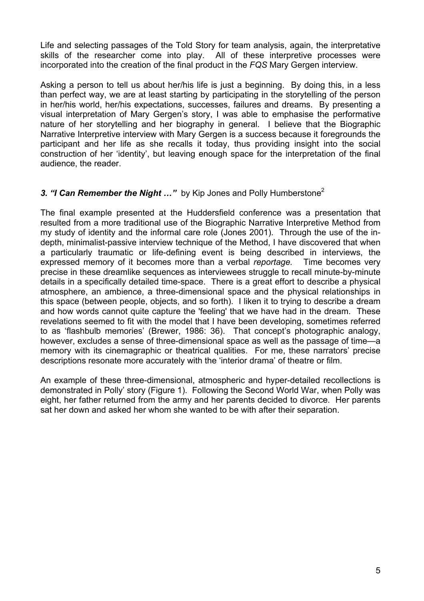Life and selecting passages of the Told Story for team analysis, again, the interpretative skills of the researcher come into play. All of these interpretive processes were incorporated into the creation of the final product in the *FQS* Mary Gergen interview.

Asking a person to tell us about her/his life is just a beginning. By doing this, in a less than perfect way, we are at least starting by participating in the storytelling of the person in her/his world, her/his expectations, successes, failures and dreams. By presenting a visual interpretation of Mary Gergen's story, I was able to emphasise the performative nature of her storytelling and her biography in general. I believe that the Biographic Narrative Interpretive interview with Mary Gergen is a success because it foregrounds the participant and her life as she recalls it today, thus providing insight into the social construction of her 'identity', but leaving enough space for the interpretation of the final audience, the reader.

## **3. "I Can Remember the Night ..."** by Kip Jones and Polly Humberstone<sup>2</sup>

The final example presented at the Huddersfield conference was a presentation that resulted from a more traditional use of the Biographic Narrative Interpretive Method from my study of identity and the informal care role (Jones 2001). Through the use of the indepth, minimalist-passive interview technique of the Method, I have discovered that when a particularly traumatic or life-defining event is being described in interviews, the expressed memory of it becomes more than a verbal *reportage.* Time becomes very precise in these dreamlike sequences as interviewees struggle to recall minute-by-minute details in a specifically detailed time-space. There is a great effort to describe a physical atmosphere, an ambience, a three-dimensional space and the physical relationships in this space (between people, objects, and so forth). I liken it to trying to describe a dream and how words cannot quite capture the 'feeling' that we have had in the dream. These revelations seemed to fit with the model that I have been developing, sometimes referred to as 'flashbulb memories' (Brewer, 1986: 36). That concept's photographic analogy, however, excludes a sense of three-dimensional space as well as the passage of time—a memory with its cinemagraphic or theatrical qualities. For me, these narrators' precise descriptions resonate more accurately with the 'interior drama' of theatre or film.

An example of these three-dimensional, atmospheric and hyper-detailed recollections is demonstrated in Polly' story (Figure 1). Following the Second World War, when Polly was eight, her father returned from the army and her parents decided to divorce. Her parents sat her down and asked her whom she wanted to be with after their separation.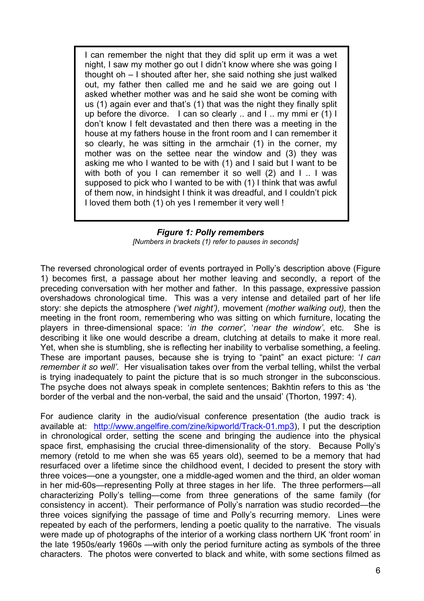I can remember the night that they did split up erm it was a wet night, I saw my mother go out I didn't know where she was going I thought oh – I shouted after her, she said nothing she just walked out, my father then called me and he said we are going out I asked whether mother was and he said she wont be coming with us (1) again ever and that's (1) that was the night they finally split up before the divorce. I can so clearly .. and I .. my mmi er (1) I don't know I felt devastated and then there was a meeting in the house at my fathers house in the front room and I can remember it so clearly, he was sitting in the armchair (1) in the corner, my mother was on the settee near the window and (3) they was asking me who I wanted to be with (1) and I said but I want to be with both of you I can remember it so well (2) and I .. I was supposed to pick who I wanted to be with (1) I think that was awful of them now, in hindsight I think it was dreadful, and I couldn't pick I loved them both (1) oh yes I remember it very well !

> *Figure 1: Polly remembers [Numbers in brackets (1) refer to pauses in seconds]*

The reversed chronological order of events portrayed in Polly's description above (Figure 1) becomes first, a passage about her mother leaving and secondly, a report of the preceding conversation with her mother and father. In this passage, expressive passion overshadows chronological time. This was a very intense and detailed part of her life story: she depicts the atmosphere *('wet night'),* movement *(mother walking out),* then the meeting in the front room, remembering who was sitting on which furniture, locating the players in three-dimensional space: '*in the corner',* '*near the window'*, etc. She is describing it like one would describe a dream, clutching at details to make it more real. Yet, when she is stumbling, she is reflecting her inability to verbalise something, a feeling. These are important pauses, because she is trying to "paint" an exact picture: '*I can remember it so well'.* Her visualisation takes over from the verbal telling, whilst the verbal is trying inadequately to paint the picture that is so much stronger in the subconscious. The psyche does not always speak in complete sentences; Bakhtin refers to this as 'the border of the verbal and the non-verbal, the said and the unsaid' (Thorton, 1997: 4).

For audience clarity in the audio/visual conference presentation (the audio track is available at: http://www.angelfire.com/zine/kipworld/Track-01.mp3), I put the description in chronological order, setting the scene and bringing the audience into the physical space first, emphasising the crucial three-dimensionality of the story. Because Polly's memory (retold to me when she was 65 years old), seemed to be a memory that had resurfaced over a lifetime since the childhood event, I decided to present the story with three voices—one a youngster, one a middle-aged women and the third, an older woman in her mid-60s—representing Polly at three stages in her life. The three performers—all characterizing Polly's telling—come from three generations of the same family (for consistency in accent). Their performance of Polly's narration was studio recorded—the three voices signifying the passage of time and Polly's recurring memory. Lines were repeated by each of the performers, lending a poetic quality to the narrative. The visuals were made up of photographs of the interior of a working class northern UK 'front room' in the late 1950s/early 1960s —with only the period furniture acting as symbols of the three characters. The photos were converted to black and white, with some sections filmed as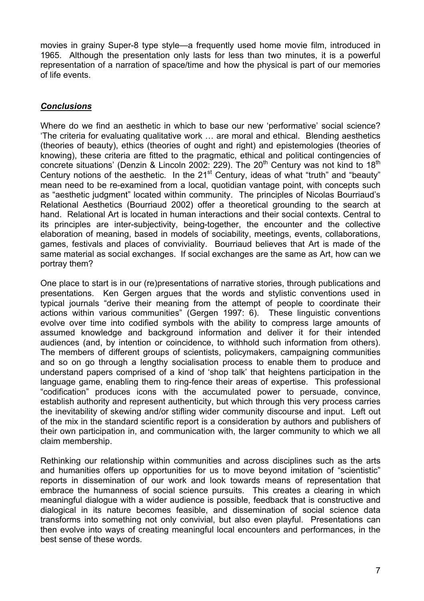movies in grainy Super-8 type style—a frequently used home movie film, introduced in 1965. Although the presentation only lasts for less than two minutes, it is a powerful representation of a narration of space/time and how the physical is part of our memories of life events.

# *Conclusions*

Where do we find an aesthetic in which to base our new 'performative' social science? 'The criteria for evaluating qualitative work … are moral and ethical. Blending aesthetics (theories of beauty), ethics (theories of ought and right) and epistemologies (theories of knowing), these criteria are fitted to the pragmatic, ethical and political contingencies of concrete situations' (Denzin & Lincoln 2002: 229). The 20<sup>th</sup> Century was not kind to 18<sup>th</sup> Century notions of the aesthetic. In the  $21<sup>st</sup>$  Century, ideas of what "truth" and "beauty" mean need to be re-examined from a local, quotidian vantage point, with concepts such as "aesthetic judgment" located within community. The principles of Nicolas Bourriaud's Relational Aesthetics (Bourriaud 2002) offer a theoretical grounding to the search at hand. Relational Art is located in human interactions and their social contexts. Central to its principles are inter-subjectivity, being-together, the encounter and the collective elaboration of meaning, based in models of sociability, meetings, events, collaborations, games, festivals and places of conviviality. Bourriaud believes that Art is made of the same material as social exchanges. If social exchanges are the same as Art, how can we portray them?

One place to start is in our (re)presentations of narrative stories, through publications and presentations. Ken Gergen argues that the words and stylistic conventions used in typical journals "derive their meaning from the attempt of people to coordinate their actions within various communities" (Gergen 1997: 6). These linguistic conventions evolve over time into codified symbols with the ability to compress large amounts of assumed knowledge and background information and deliver it for their intended audiences (and, by intention or coincidence, to withhold such information from others). The members of different groups of scientists, policymakers, campaigning communities and so on go through a lengthy socialisation process to enable them to produce and understand papers comprised of a kind of 'shop talk' that heightens participation in the language game, enabling them to ring-fence their areas of expertise. This professional "codification" produces icons with the accumulated power to persuade, convince, establish authority and represent authenticity, but which through this very process carries the inevitability of skewing and/or stifling wider community discourse and input. Left out of the mix in the standard scientific report is a consideration by authors and publishers of their own participation in, and communication with, the larger community to which we all claim membership.

Rethinking our relationship within communities and across disciplines such as the arts and humanities offers up opportunities for us to move beyond imitation of "scientistic" reports in dissemination of our work and look towards means of representation that embrace the humanness of social science pursuits. This creates a clearing in which meaningful dialogue with a wider audience is possible, feedback that is constructive and dialogical in its nature becomes feasible, and dissemination of social science data transforms into something not only convivial, but also even playful. Presentations can then evolve into ways of creating meaningful local encounters and performances, in the best sense of these words.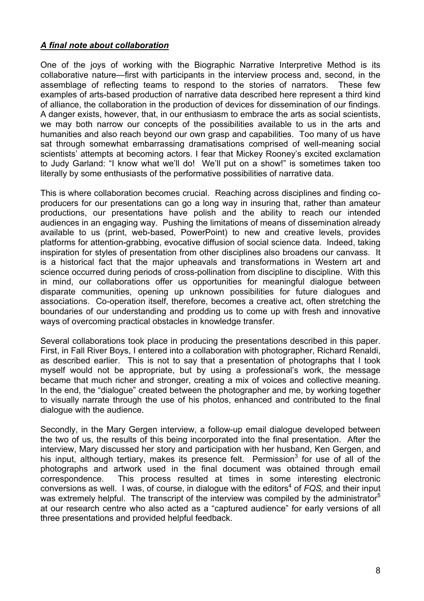## *A final note about collaboration*

One of the joys of working with the Biographic Narrative Interpretive Method is its collaborative nature—first with participants in the interview process and, second, in the assemblage of reflecting teams to respond to the stories of narrators. These few examples of arts-based production of narrative data described here represent a third kind of alliance, the collaboration in the production of devices for dissemination of our findings. A danger exists, however, that, in our enthusiasm to embrace the arts as social scientists, we may both narrow our concepts of the possibilities available to us in the arts and humanities and also reach beyond our own grasp and capabilities. Too many of us have sat through somewhat embarrassing dramatisations comprised of well-meaning social scientists' attempts at becoming actors. I fear that Mickey Rooney's excited exclamation to Judy Garland: "I know what we'll do! We'll put on a show!" is sometimes taken too literally by some enthusiasts of the performative possibilities of narrative data.

This is where collaboration becomes crucial. Reaching across disciplines and finding coproducers for our presentations can go a long way in insuring that, rather than amateur productions, our presentations have polish and the ability to reach our intended audiences in an engaging way. Pushing the limitations of means of dissemination already available to us (print, web-based, PowerPoint) to new and creative levels, provides platforms for attention-grabbing, evocative diffusion of social science data. Indeed, taking inspiration for styles of presentation from other disciplines also broadens our canvass. It is a historical fact that the major upheavals and transformations in Western art and science occurred during periods of cross-pollination from discipline to discipline. With this in mind, our collaborations offer us opportunities for meaningful dialogue between disparate communities, opening up unknown possibilities for future dialogues and associations. Co-operation itself, therefore, becomes a creative act, often stretching the boundaries of our understanding and prodding us to come up with fresh and innovative ways of overcoming practical obstacles in knowledge transfer.

Several collaborations took place in producing the presentations described in this paper. First, in Fall River Boys, I entered into a collaboration with photographer, Richard Renaldi, as described earlier. This is not to say that a presentation of photographs that I took myself would not be appropriate, but by using a professional's work, the message became that much richer and stronger, creating a mix of voices and collective meaning. In the end, the "dialogue" created between the photographer and me, by working together to visually narrate through the use of his photos, enhanced and contributed to the final dialogue with the audience.

Secondly, in the Mary Gergen interview, a follow-up email dialogue developed between the two of us, the results of this being incorporated into the final presentation. After the interview, Mary discussed her story and participation with her husband, Ken Gergen, and his input, although tertiary, makes its presence felt. Permission<sup>3</sup> for use of all of the photographs and artwork used in the final document was obtained through email correspondence. This process resulted at times in some interesting electronic conversions as well. I was, of course, in dialogue with the editors<sup>4</sup> of *FQS*, and their input was extremely helpful. The transcript of the interview was compiled by the administrator<sup>5</sup> at our research centre who also acted as a "captured audience" for early versions of all three presentations and provided helpful feedback.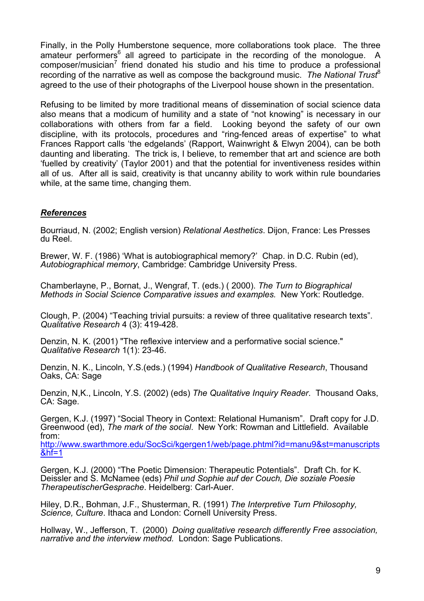Finally, in the Polly Humberstone sequence, more collaborations took place. The three amateur performers $<sup>6</sup>$  all agreed to participate in the recording of the monologue. A</sup> composer/musician<sup>7</sup> friend donated his studio and his time to produce a professional recording of the narrative as well as compose the background music. *The National Trust*<sup>8</sup> agreed to the use of their photographs of the Liverpool house shown in the presentation.

Refusing to be limited by more traditional means of dissemination of social science data also means that a modicum of humility and a state of "not knowing" is necessary in our collaborations with others from far a field. Looking beyond the safety of our own discipline, with its protocols, procedures and "ring-fenced areas of expertise" to what Frances Rapport calls 'the edgelands' (Rapport, Wainwright & Elwyn 2004), can be both daunting and liberating. The trick is, I believe, to remember that art and science are both 'fuelled by creativity' (Taylor 2001) and that the potential for inventiveness resides within all of us. After all is said, creativity is that uncanny ability to work within rule boundaries while, at the same time, changing them.

## *References*

Bourriaud, N. (2002; English version) *Relational Aesthetics*. Dijon, France: Les Presses du Reel.

Brewer, W. F. (1986) 'What is autobiographical memory?' Chap. in D.C. Rubin (ed), *Autobiographical memory*, Cambridge: Cambridge University Press.

Chamberlayne, P., Bornat, J., Wengraf, T. (eds.) ( 2000). *The Turn to Biographical Methods in Social Science Comparative issues and examples.* New York: Routledge.

Clough, P. (2004) "Teaching trivial pursuits: a review of three qualitative research texts". *Qualitative Research* 4 (3): 419-428.

Denzin, N. K. (2001) "The reflexive interview and a performative social science." *Qualitative Research* 1(1): 23-46.

Denzin, N. K., Lincoln, Y.S.(eds.) (1994) *Handbook of Qualitative Research*, Thousand Oaks, CA: Sage

Denzin, N,K., Lincoln, Y.S. (2002) (eds) *The Qualitative Inquiry Reader*. Thousand Oaks, CA: Sage.

Gergen, K.J. (1997) "Social Theory in Context: Relational Humanism". Draft copy for J.D. Greenwood (ed), *The mark of the social*. New York: Rowman and Littlefield. Available from:

http://www.swarthmore.edu/SocSci/kgergen1/web/page.phtml?id=manu9&st=manuscripts  $Rhf=1$ 

Gergen, K.J. (2000) "The Poetic Dimension: Therapeutic Potentials". Draft Ch. for K. Deissler and S. McNamee (eds) *Phil und Sophie auf der Couch, Die soziale Poesie TherapeutischerGesprache*. Heidelberg: Carl-Auer.

Hiley, D.R., Bohman, J.F., Shusterman, R. (1991) *The Interpretive Turn Philosophy, Science, Culture*. Ithaca and London: Cornell University Press.

Hollway, W., Jefferson, T. (2000) *Doing qualitative research differently Free association, narrative and the interview method.* London: Sage Publications.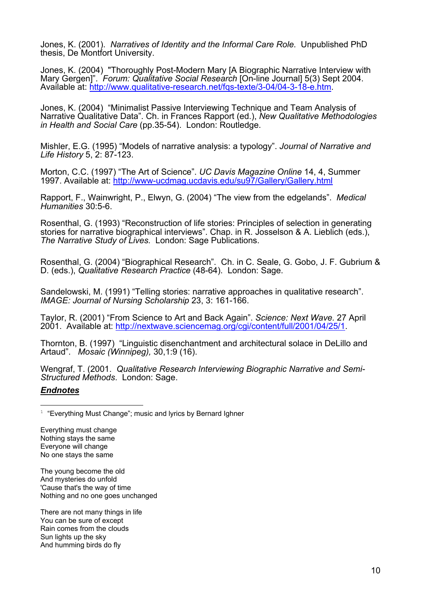Jones, K. (2001). *Narratives of Identity and the Informal Care Role*. Unpublished PhD thesis, De Montfort University.

Jones, K. (2004) "Thoroughly Post-Modern Mary [A Biographic Narrative Interview with Mary Gergen]". *Forum: Qualitative Social Research* [On-line Journal] 5(3) Sept 2004. Available at: http://www.qualitative-research.net/fqs-texte/3-04/04-3-18-e.htm.

Jones, K. (2004) "Minimalist Passive Interviewing Technique and Team Analysis of Narrative Qualitative Data". Ch. in Frances Rapport (ed.), *New Qualitative Methodologies in Health and Social Care* (pp.35-54). London: Routledge.

Mishler, E.G. (1995) "Models of narrative analysis: a typology". *Journal of Narrative and Life History* 5, 2: 87-123.

Morton, C.C. (1997) "The Art of Science". *UC Davis Magazine Online* 14, 4, Summer 1997. Available at: http://www-ucdmag.ucdavis.edu/su97/Gallery/Gallery.html

Rapport, F., Wainwright, P., Elwyn, G. (2004) "The view from the edgelands". *Medical Humanities* 30:5-6.

Rosenthal, G. (1993) "Reconstruction of life stories: Principles of selection in generating stories for narrative biographical interviews". Chap. in R. Josselson & A. Lieblich (eds.), *The Narrative Study of Lives.* London: Sage Publications.

Rosenthal, G. (2004) "Biographical Research". Ch. in C. Seale, G. Gobo, J. F. Gubrium & D. (eds.), *Qualitative Research Practice* (48-64). London: Sage.

Sandelowski, M. (1991) "Telling stories: narrative approaches in qualitative research". *IMAGE: Journal of Nursing Scholarship* 23, 3: 161-166.

Taylor, R. (2001) "From Science to Art and Back Again". *Science: Next Wave.* 27 April 2001. Available at: http://nextwave.sciencemag.org/cgi/content/full/2001/04/25/1.

Thornton, B. (1997) "Linguistic disenchantment and architectural solace in DeLillo and Artaud". *Mosaic (Winnipeg),* 30,1:9 (16).

Wengraf, T. (2001. *Qualitative Research Interviewing Biographic Narrative and Semi-Structured Methods*. London: Sage.

#### *Endnotes*

Everything must change Nothing stays the same Everyone will change No one stays the same

The young become the old And mysteries do unfold 'Cause that's the way of time Nothing and no one goes unchanged

There are not many things in life You can be sure of except Rain comes from the clouds Sun lights up the sky And humming birds do fly

l  $1$  "Everything Must Change"; music and Ivrics by Bernard Ighner